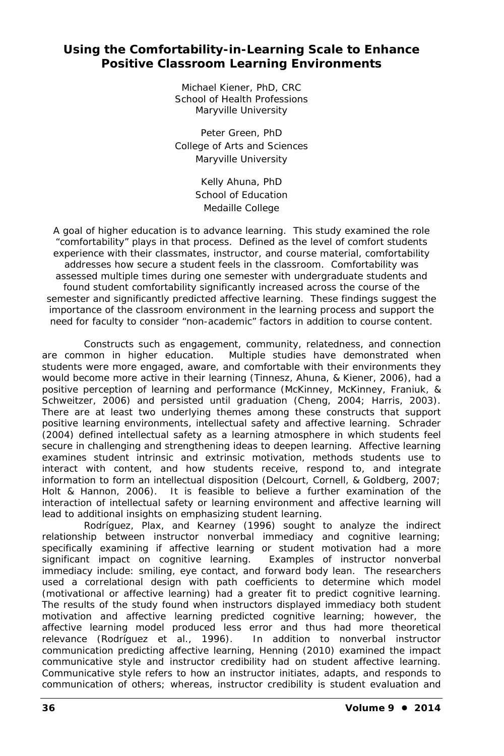## **Using the Comfortability-in-Learning Scale to Enhance Positive Classroom Learning Environments**

Michael Kiener, PhD, CRC School of Health Professions Maryville University

Peter Green, PhD College of Arts and Sciences Maryville University

> Kelly Ahuna, PhD School of Education Medaille College

*A goal of higher education is to advance learning. This study examined the role "comfortability" plays in that process. Defined as the level of comfort students experience with their classmates, instructor, and course material, comfortability addresses how secure a student feels in the classroom. Comfortability was assessed multiple times during one semester with undergraduate students and* found student comfortability significantly increased across the course of the *semester and significantly predicted affective learning. These findings suggest the importance of the classroom environment in the learning process and support the need for faculty to consider "non-academic" factors in addition to course content.*

Constructs such as engagement, community, relatedness, and connection are common in higher education. Multiple studies have demonstrated when students were more engaged, aware, and comfortable with their environments they would become more active in their learning (Tinnesz, Ahuna, & Kiener, 2006), had a positive perception of learning and performance (McKinney, McKinney, Franiuk, & Schweitzer, 2006) and persisted until graduation (Cheng, 2004; Harris, 2003). There are at least two underlying themes among these constructs that support positive learning environments, intellectual safety and affective learning. Schrader (2004) defined intellectual safety as a learning atmosphere in which students feel secure in challenging and strengthening ideas to deepen learning. Affective learning examines student intrinsic and extrinsic motivation, methods students use to interact with content, and how students receive, respond to, and integrate information to form an intellectual disposition (Delcourt, Cornell, & Goldberg, 2007; Holt & Hannon, 2006). It is feasible to believe a further examination of the interaction of intellectual safety or learning environment and affective learning will lead to additional insights on emphasizing student learning.

Rodríguez, Plax, and Kearney (1996) sought to analyze the indirect relationship between instructor nonverbal immediacy and cognitive learning; specifically examining if affective learning or student motivation had a more significant impact on cognitive learning. Examples of instructor nonverbal immediacy include: smiling, eye contact, and forward body lean. The researchers used a correlational design with path coefficients to determine which model (motivational or affective learning) had a greater fit to predict cognitive learning. The results of the study found when instructors displayed immediacy both student motivation and affective learning predicted cognitive learning; however, the affective learning model produced less error and thus had more theoretical relevance (Rodríguez et al., 1996). In addition to nonverbal instructor communication predicting affective learning, Henning (2010) examined the impact communicative style and instructor credibility had on student affective learning. Communicative style refers to how an instructor initiates, adapts, and responds to communication of others; whereas, instructor credibility is student evaluation and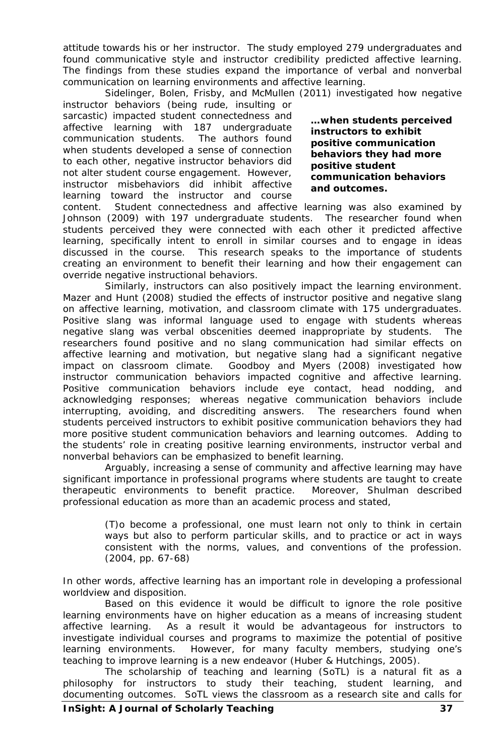attitude towards his or her instructor. The study employed 279 undergraduates and found communicative style and instructor credibility predicted affective learning. The findings from these studies expand the importance of verbal and nonverbal communication on learning environments and affective learning.

Sidelinger, Bolen, Frisby, and McMullen (2011) investigated how negative

instructor behaviors (being rude, insulting or sarcastic) impacted student connectedness and affective learning with 187 undergraduate communication students. The authors found when students developed a sense of connection to each other, negative instructor behaviors did not alter student course engagement. However, instructor misbehaviors did inhibit affective learning toward the instructor and course

**…when students perceived instructors to exhibit positive communication behaviors they had more positive student communication behaviors and outcomes.**

content. Student connectedness and affective learning was also examined by Johnson (2009) with 197 undergraduate students. The researcher found when students perceived they were connected with each other it predicted affective learning, specifically intent to enroll in similar courses and to engage in ideas discussed in the course. This research speaks to the importance of students creating an environment to benefit their learning and how their engagement can override negative instructional behaviors.

Similarly, instructors can also positively impact the learning environment. Mazer and Hunt (2008) studied the effects of instructor positive and negative slang on affective learning, motivation, and classroom climate with 175 undergraduates. Positive slang was informal language used to engage with students whereas negative slang was verbal obscenities deemed inappropriate by students. The researchers found positive and no slang communication had similar effects on affective learning and motivation, but negative slang had a significant negative impact on classroom climate. Goodboy and Myers (2008) investigated how instructor communication behaviors impacted cognitive and affective learning. Positive communication behaviors include eye contact, head nodding, and acknowledging responses; whereas negative communication behaviors include interrupting, avoiding, and discrediting answers. The researchers found when students perceived instructors to exhibit positive communication behaviors they had more positive student communication behaviors and learning outcomes. Adding to the students' role in creating positive learning environments, instructor verbal and nonverbal behaviors can be emphasized to benefit learning.

Arguably, increasing a sense of community and affective learning may have significant importance in professional programs where students are taught to create therapeutic environments to benefit practice. Moreover, Shulman described professional education as more than an academic process and stated,

> (T)o become a professional, one must learn not only to think in certain ways but also to perform particular skills, and to practice or act in ways consistent with the norms, values, and conventions of the profession. (2004, pp. 67-68)

In other words, affective learning has an important role in developing a professional worldview and disposition.

Based on this evidence it would be difficult to ignore the role positive learning environments have on higher education as a means of increasing student affective learning. As a result it would be advantageous for instructors to investigate individual courses and programs to maximize the potential of positive learning environments. However, for many faculty members, studying one's teaching to improve learning is a new endeavor (Huber & Hutchings, 2005).

The scholarship of teaching and learning (SoTL) is a natural fit as a philosophy for instructors to study their teaching, student learning, and documenting outcomes. SoTL views the classroom as a research site and calls for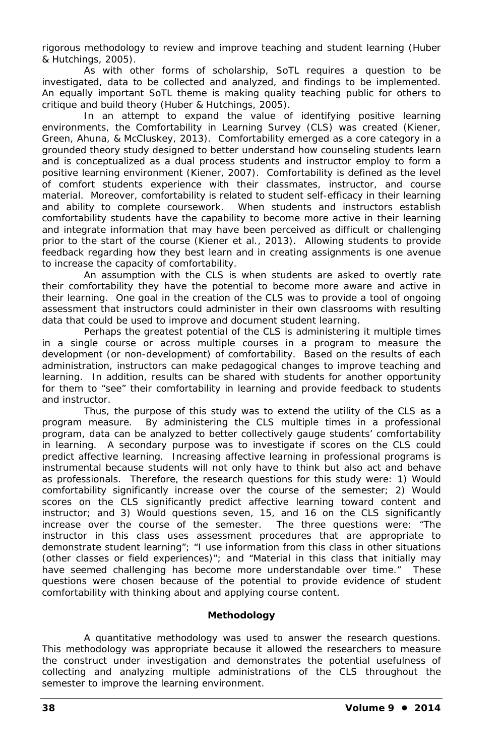rigorous methodology to review and improve teaching and student learning (Huber & Hutchings, 2005).

As with other forms of scholarship, SoTL requires a question to be investigated, data to be collected and analyzed, and findings to be implemented. An equally important SoTL theme is making quality teaching public for others to critique and build theory (Huber & Hutchings, 2005).

In an attempt to expand the value of identifying positive learning environments, the Comfortability in Learning Survey (CLS) was created (Kiener, Green, Ahuna, & McCluskey, 2013). Comfortability emerged as a core category in a grounded theory study designed to better understand how counseling students learn and is conceptualized as a dual process students and instructor employ to form a positive learning environment (Kiener, 2007). Comfortability is defined as the level of comfort students experience with their classmates, instructor, and course material. Moreover, comfortability is related to student self-efficacy in their learning and ability to complete coursework. When students and instructors establish comfortability students have the capability to become more active in their learning and integrate information that may have been perceived as difficult or challenging prior to the start of the course (Kiener et al., 2013). Allowing students to provide feedback regarding how they best learn and in creating assignments is one avenue to increase the capacity of comfortability.

An assumption with the CLS is when students are asked to overtly rate their comfortability they have the potential to become more aware and active in their learning. One goal in the creation of the CLS was to provide a tool of ongoing assessment that instructors could administer in their own classrooms with resulting data that could be used to improve and document student learning.

Perhaps the greatest potential of the CLS is administering it multiple times in a single course or across multiple courses in a program to measure the development (or non-development) of comfortability. Based on the results of each administration, instructors can make pedagogical changes to improve teaching and learning. In addition, results can be shared with students for another opportunity for them to "see" their comfortability in learning and provide feedback to students and instructor.

Thus, the purpose of this study was to extend the utility of the CLS as a program measure. By administering the CLS multiple times in a professional program, data can be analyzed to better collectively gauge students' comfortability in learning. A secondary purpose was to investigate if scores on the CLS could predict affective learning. Increasing affective learning in professional programs is instrumental because students will not only have to think but also act and behave as professionals. Therefore, the research questions for this study were: 1) Would comfortability significantly increase over the course of the semester; 2) Would scores on the CLS significantly predict affective learning toward content and instructor; and 3) Would questions seven, 15, and 16 on the CLS significantly increase over the course of the semester. The three questions were: "The instructor in this class uses assessment procedures that are appropriate to demonstrate student learning"; "I use information from this class in other situations (other classes or field experiences)"; and "Material in this class that initially may have seemed challenging has become more understandable over time." These questions were chosen because of the potential to provide evidence of student comfortability with thinking about and applying course content.

#### **Methodology**

A quantitative methodology was used to answer the research questions. This methodology was appropriate because it allowed the researchers to measure the construct under investigation and demonstrates the potential usefulness of collecting and analyzing multiple administrations of the CLS throughout the semester to improve the learning environment.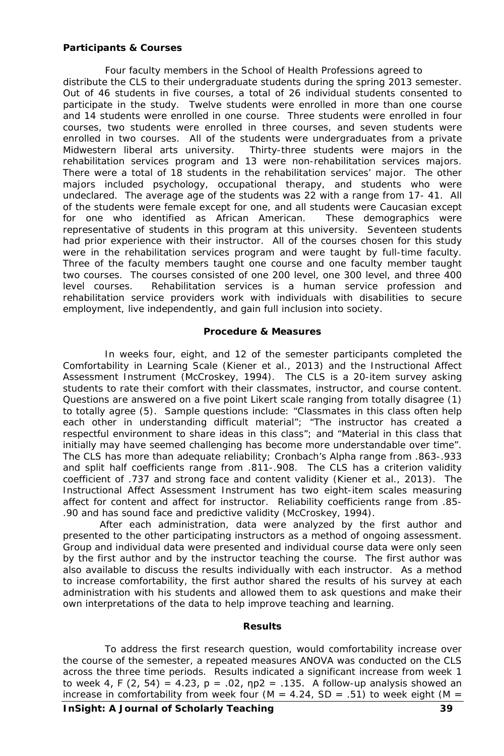#### **Participants & Courses**

Four faculty members in the School of Health Professions agreed to distribute the CLS to their undergraduate students during the spring 2013 semester. Out of 46 students in five courses, a total of 26 individual students consented to participate in the study. Twelve students were enrolled in more than one course and 14 students were enrolled in one course. Three students were enrolled in four courses, two students were enrolled in three courses, and seven students were enrolled in two courses. All of the students were undergraduates from a private Midwestern liberal arts university. Thirty-three students were majors in the rehabilitation services program and 13 were non-rehabilitation services majors. There were a total of 18 students in the rehabilitation services' major. The other majors included psychology, occupational therapy, and students who were undeclared. The average age of the students was 22 with a range from 17- 41. All of the students were female except for one, and all students were Caucasian except for one who identified as African American. These demographics were representative of students in this program at this university. Seventeen students had prior experience with their instructor. All of the courses chosen for this study were in the rehabilitation services program and were taught by full-time faculty. Three of the faculty members taught one course and one faculty member taught two courses. The courses consisted of one 200 level, one 300 level, and three 400 level courses. Rehabilitation services is a human service profession and rehabilitation service providers work with individuals with disabilities to secure employment, live independently, and gain full inclusion into society.

#### **Procedure & Measures**

In weeks four, eight, and 12 of the semester participants completed the Comfortability in Learning Scale (Kiener et al., 2013) and the Instructional Affect Assessment Instrument (McCroskey, 1994). The CLS is a 20-item survey asking students to rate their comfort with their classmates, instructor, and course content. Questions are answered on a five point Likert scale ranging from totally disagree (1) to totally agree (5). Sample questions include: "Classmates in this class often help each other in understanding difficult material"; "The instructor has created a respectful environment to share ideas in this class"; and "Material in this class that initially may have seemed challenging has become more understandable over time". The CLS has more than adequate reliability; Cronbach's Alpha range from .863-.933 and split half coefficients range from .811-.908. The CLS has a criterion validity coefficient of .737 and strong face and content validity (Kiener et al., 2013). The Instructional Affect Assessment Instrument has two eight-item scales measuring affect for content and affect for instructor. Reliability coefficients range from .85- .90 and has sound face and predictive validity (McCroskey, 1994).

After each administration, data were analyzed by the first author and presented to the other participating instructors as a method of ongoing assessment. Group and individual data were presented and individual course data were only seen by the first author and by the instructor teaching the course. The first author was also available to discuss the results individually with each instructor. As a method to increase comfortability, the first author shared the results of his survey at each administration with his students and allowed them to ask questions and make their own interpretations of the data to help improve teaching and learning.

#### **Results**

To address the first research question, would comfortability increase over the course of the semester, a repeated measures ANOVA was conducted on the CLS across the three time periods. Results indicated a significant increase from week 1 to week 4, F (2, 54) = 4.23, p = .02, np2 = .135. A follow-up analysis showed an increase in comfortability from week four (M = 4.24, SD = .51) to week eight (M =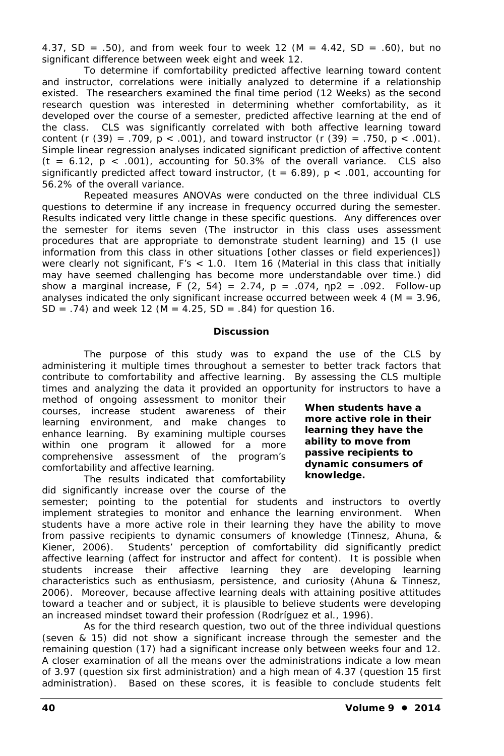4.37, SD = .50), and from week four to week 12 (M = 4.42, SD = .60), but no significant difference between week eight and week 12.

To determine if comfortability predicted affective learning toward content and instructor, correlations were initially analyzed to determine if a relationship existed. The researchers examined the final time period (12 Weeks) as the second research question was interested in determining whether comfortability, as it developed over the course of a semester, predicted affective learning at the end of the class. CLS was significantly correlated with both affective learning toward content (r  $(39) = .709$ ,  $p < .001$ ), and toward instructor (r  $(39) = .750$ ,  $p < .001$ ). Simple linear regression analyses indicated significant prediction of affective content (t = 6.12, p < .001), accounting for 50.3% of the overall variance. CLS also significantly predicted affect toward instructor,  $(t = 6.89)$ ,  $p < .001$ , accounting for 56.2% of the overall variance.

Repeated measures ANOVAs were conducted on the three individual CLS questions to determine if any increase in frequency occurred during the semester. Results indicated very little change in these specific questions. Any differences over the semester for items seven (The instructor in this class uses assessment procedures that are appropriate to demonstrate student learning) and 15 (I use information from this class in other situations [other classes or field experiences]) were clearly not significant,  $F's < 1.0$ . Item 16 (Material in this class that initially may have seemed challenging has become more understandable over time.) did show a marginal increase,  $F(2, 54) = 2.74$ ,  $p = .074$ ,  $np2 = .092$ . Follow-up analyses indicated the only significant increase occurred between week 4 ( $M = 3.96$ , SD = .74) and week 12 ( $M = 4.25$ , SD = .84) for question 16.

### **Discussion**

The purpose of this study was to expand the use of the CLS by administering it multiple times throughout a semester to better track factors that contribute to comfortability and affective learning. By assessing the CLS multiple times and analyzing the data it provided an opportunity for instructors to have a

method of ongoing assessment to monitor their courses, increase student awareness of their learning environment, and make changes to enhance learning. By examining multiple courses within one program it allowed for a more comprehensive assessment of the program's comfortability and affective learning.

The results indicated that comfortability did significantly increase over the course of the

**When students have a more active role in their learning they have the ability to move from passive recipients to dynamic consumers of knowledge.**

semester; pointing to the potential for students and instructors to overtly implement strategies to monitor and enhance the learning environment. When students have a more active role in their learning they have the ability to move from passive recipients to dynamic consumers of knowledge (Tinnesz, Ahuna, & Kiener, 2006). Students' perception of comfortability did significantly predict affective learning (affect for instructor and affect for content). It is possible when students increase their affective learning they are developing learning characteristics such as enthusiasm, persistence, and curiosity (Ahuna & Tinnesz, 2006). Moreover, because affective learning deals with attaining positive attitudes toward a teacher and or subject, it is plausible to believe students were developing an increased mindset toward their profession (Rodríguez et al., 1996).

As for the third research question, two out of the three individual questions (seven & 15) did not show a significant increase through the semester and the remaining question (17) had a significant increase only between weeks four and 12. A closer examination of all the means over the administrations indicate a low mean of 3.97 (question six first administration) and a high mean of 4.37 (question 15 first administration). Based on these scores, it is feasible to conclude students felt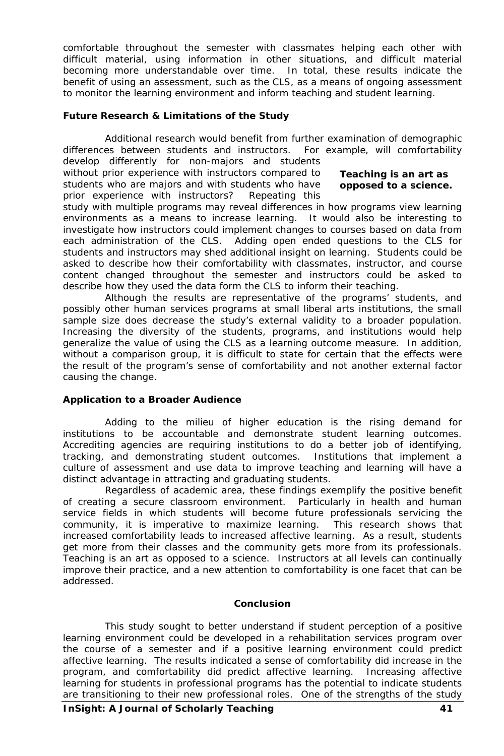comfortable throughout the semester with classmates helping each other with difficult material, using information in other situations, and difficult material becoming more understandable over time. In total, these results indicate the benefit of using an assessment, such as the CLS, as a means of ongoing assessment to monitor the learning environment and inform teaching and student learning.

#### **Future Research & Limitations of the Study**

Additional research would benefit from further examination of demographic differences between students and instructors. For example, will comfortability develop differently for non-majors and students

without prior experience with instructors compared to students who are majors and with students who have **opposed to a science.**prior experience with instructors? Repeating this

# **Teaching is an art as**

study with multiple programs may reveal differences in how programs view learning environments as a means to increase learning. It would also be interesting to investigate how instructors could implement changes to courses based on data from each administration of the CLS. Adding open ended questions to the CLS for students and instructors may shed additional insight on learning. Students could be asked to describe how their comfortability with classmates, instructor, and course content changed throughout the semester and instructors could be asked to describe how they used the data form the CLS to inform their teaching.

Although the results are representative of the programs' students, and possibly other human services programs at small liberal arts institutions, the small sample size does decrease the study's external validity to a broader population. Increasing the diversity of the students, programs, and institutions would help generalize the value of using the CLS as a learning outcome measure. In addition, without a comparison group, it is difficult to state for certain that the effects were the result of the program's sense of comfortability and not another external factor causing the change.

#### **Application to a Broader Audience**

Adding to the milieu of higher education is the rising demand for institutions to be accountable and demonstrate student learning outcomes. Accrediting agencies are requiring institutions to do a better job of identifying, tracking, and demonstrating student outcomes. Institutions that implement a culture of assessment and use data to improve teaching and learning will have a distinct advantage in attracting and graduating students.

Regardless of academic area, these findings exemplify the positive benefit of creating a secure classroom environment. Particularly in health and human service fields in which students will become future professionals servicing the community, it is imperative to maximize learning. This research shows that increased comfortability leads to increased affective learning. As a result, students get more from their classes and the community gets more from its professionals. Teaching is an art as opposed to a science. Instructors at all levels can continually improve their practice, and a new attention to comfortability is one facet that can be addressed.

#### **Conclusion**

This study sought to better understand if student perception of a positive learning environment could be developed in a rehabilitation services program over the course of a semester and if a positive learning environment could predict affective learning. The results indicated a sense of comfortability did increase in the program, and comfortability did predict affective learning. Increasing affective learning for students in professional programs has the potential to indicate students are transitioning to their new professional roles. One of the strengths of the study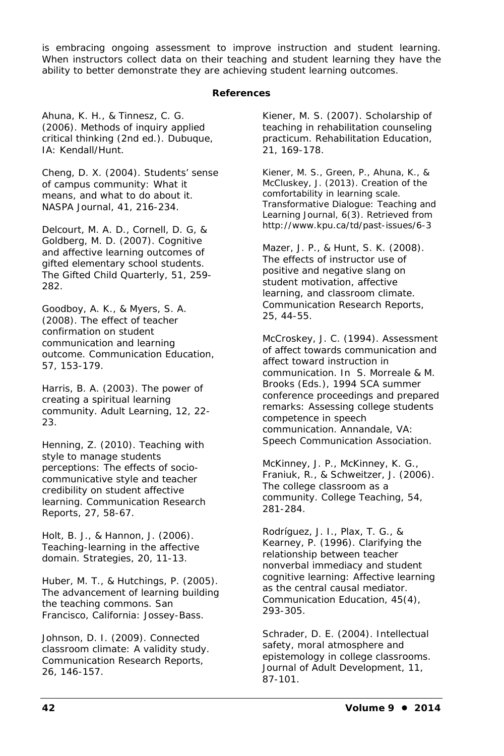is embracing ongoing assessment to improve instruction and student learning. When instructors collect data on their teaching and student learning they have the ability to better demonstrate they are achieving student learning outcomes.

#### **References**

Ahuna, K. H., & Tinnesz, C. G. (2006). *Methods of inquiry applied critical thinking* (2nd ed.). Dubuque, IA: Kendall/Hunt.

Cheng, D. X. (2004). Students' sense of campus community: What it means, and what to do about it. *NASPA Journal*, *41*, 216-234.

Delcourt, M. A. D., Cornell, D. G, & Goldberg, M. D. (2007). Cognitive and affective learning outcomes of gifted elementary school students. *The Gifted Child Quarterly*, *51*, 259- 282.

Goodboy, A. K., & Myers, S. A. (2008). The effect of teacher confirmation on student communication and learning outcome. *Communication Education*, *57*, 153-179.

Harris, B. A. (2003). The power of creating a spiritual learning community. *Adult Learning*, *12*, 22- 23.

Henning, Z. (2010). Teaching with style to manage students perceptions: The effects of sociocommunicative style and teacher credibility on student affective learning. *Communication Research Reports*, *27*, 58-67.

Holt, B. J., & Hannon, J. (2006). Teaching-learning in the affective domain. *Strategies*, *20*, 11-13.

Huber, M. T., & Hutchings, P. (2005). *The advancement of learning building the teaching commons*. San Francisco, California: Jossey-Bass.

Johnson, D. I. (2009). Connected classroom climate: A validity study. *Communication Research Reports*, *26*, 146-157.

Kiener, M. S. (2007). Scholarship of teaching in rehabilitation counseling practicum. *Rehabilitation Education*, *21*, 169-178.

Kiener, M. S., Green, P., Ahuna, K., & McCluskey, J. (2013). Creation of the comfortability in learning scale. *Transformative Dialogue: Teaching and Learning Journal*, *6*(3). Retrieved from http://www.kpu.ca/td/past-issues/6-3

Mazer, J. P., & Hunt, S. K. (2008). The effects of instructor use of positive and negative slang on student motivation, affective learning, and classroom climate. *Communication Research Reports*, *25*, 44-55.

McCroskey, J. C. (1994). Assessment of affect towards communication and affect toward instruction in communication. In S. Morreale & M. Brooks (Eds.), *1994 SCA summer conference proceedings and prepared remarks: Assessing college students competence in speech communication*. Annandale, VA: Speech Communication Association.

McKinney, J. P., McKinney, K. G., Franiuk, R., & Schweitzer, J. (2006). The college classroom as a community. *College Teaching*, *54*, 281-284.

Rodríguez, J. I., Plax, T. G., & Kearney, P. (1996). Clarifying the relationship between teacher nonverbal immediacy and student cognitive learning: Affective learning as the central causal mediator. *Communication Education*, *45*(4), 293-305.

Schrader, D. E. (2004). Intellectual safety, moral atmosphere and epistemology in college classrooms. *Journal of Adult Development*, *11*, 87-101.